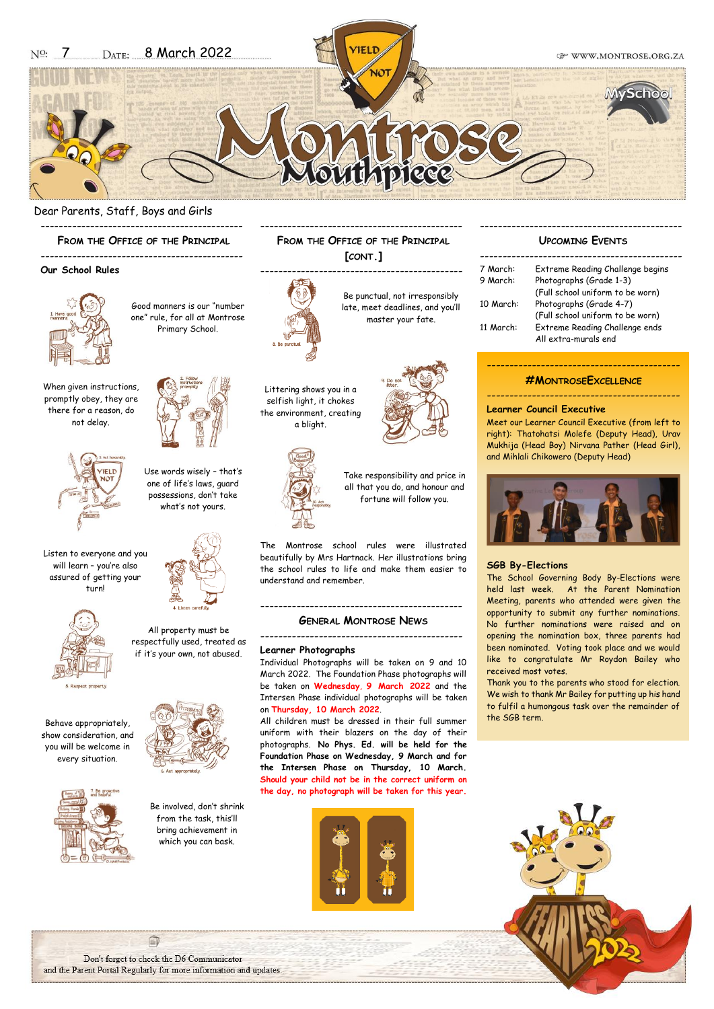

--------------------------------------------- **FROM THE OFFICE OF THE PRINCIPAL [CONT.]**

### Dear Parents, Staff, Boys and Girls

---------------------------------------------

**FROM THE OFFICE OF THE PRINCIPAL**

#### ---------------------------------------------

## **Our School Rules**



Good manners is our "number one" rule, for all at Montrose Primary School.

> Use words wisely – that's one of life's laws, guard possessions, don't take what's not yours.

When given instructions, promptly obey, they are there for a reason, do not delay.



Listen to everyone and you will learn – you're also assured of getting your turn!



All property must be respectfully used, treated as if it's your own, not abused.











Be punctual, not irresponsibly late, meet deadlines, and you'll master your fate.

---------------------------------------------





Littering shows you in a selfish light, it chokes the environment, creating a blight.

> Take responsibility and price in all that you do, and honour and fortune will follow you.

The Montrose school rules were illustrated beautifully by Mrs Hartnack. Her illustrations bring the school rules to life and make them easier to understand and remember.

#### --------------------------------------------- **GENERAL MONTROSE NEWS**

---------------------------------------------

#### **Learner Photographs**

Individual Photographs will be taken on 9 and 10 March 2022. The Foundation Phase photographs will be taken on **Wednesday**, **9 March 2022** and the Intersen Phase individual photographs will be taken on **Thursday, 10 March 2022**.

All children must be dressed in their full summer uniform with their blazers on the day of their photographs. **No Phys. Ed. will be held for the Foundation Phase on Wednesday, 9 March and for the Intersen Phase on Thursday, 10 March. Should your child not be in the correct uniform on the day, no photograph will be taken for this year.**



#### --------------------------------------------- **UPCOMING EVENTS**

| 7 March:  | Extreme Reading Challenge begins |
|-----------|----------------------------------|
| 9 March:  | Photographs (Grade 1-3)          |
|           | (Full school uniform to be worn) |
| 10 March: | Photographs (Grade 4-7)          |
|           | (Full school uniform to be worn) |
| 11 March: | Extreme Reading Challenge ends   |
|           | All extra-murals end             |

## -------------------------------------------

**#MONTROSEEXCELLENCE** -------------------------------------------

#### **Learner Council Executive**

Meet our Learner Council Executive (from left to right): Thatohatsi Molefe (Deputy Head), Urav Mukhija (Head Boy) Nirvana Pather (Head Girl), and Mihlali Chikowero (Deputy Head)



#### **SGB By-Elections**

The School Governing Body By-Elections were held last week. At the Parent Nomination Meeting, parents who attended were given the opportunity to submit any further nominations. No further nominations were raised and on opening the nomination box, three parents had been nominated. Voting took place and we would like to congratulate Mr Roydon Bailey who received most votes.

Thank you to the parents who stood for election. We wish to thank Mr Bailey for putting up his hand to fulfil a humongous task over the remainder of the SGB term.